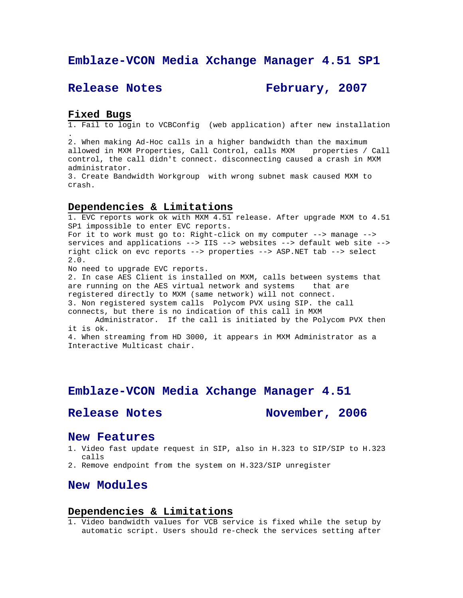# **Emblaze-VCON Media Xchange Manager 4.51 SP1**

# **Release Notes February, 2007**

## **Fixed Bugs**

1. Fail to login to VCBConfig (web application) after new installation .

2. When making Ad-Hoc calls in a higher bandwidth than the maximum allowed in MXM Properties, Call Control, calls MXM properties / Call control, the call didn't connect. disconnecting caused a crash in MXM administrator.

3. Create Bandwidth Workgroup with wrong subnet mask caused MXM to crash.

## **Dependencies & Limitations**

1. EVC reports work ok with MXM 4.51 release. After upgrade MXM to 4.51 SP1 impossible to enter EVC reports.

For it to work must go to: Right-click on my computer --> manage --> services and applications --> IIS --> websites --> default web site --> right click on evc reports --> properties --> ASP.NET tab --> select 2.0.

No need to upgrade EVC reports.

2. In case AES Client is installed on MXM, calls between systems that are running on the AES virtual network and systems that are registered directly to MXM (same network) will not connect. 3. Non registered system calls Polycom PVX using SIP. the call connects, but there is no indication of this call in MXM

 Administrator. If the call is initiated by the Polycom PVX then it is ok.

4. When streaming from HD 3000, it appears in MXM Administrator as a Interactive Multicast chair.

# **Emblaze-VCON Media Xchange Manager 4.51**

Release Notes November, 2006

## **New Features**

- 1. Video fast update request in SIP, also in H.323 to SIP/SIP to H.323 calls
- 2. Remove endpoint from the system on H.323/SIP unregister

# **New Modules**

### **Dependencies & Limitations**

1. Video bandwidth values for VCB service is fixed while the setup by automatic script. Users should re-check the services setting after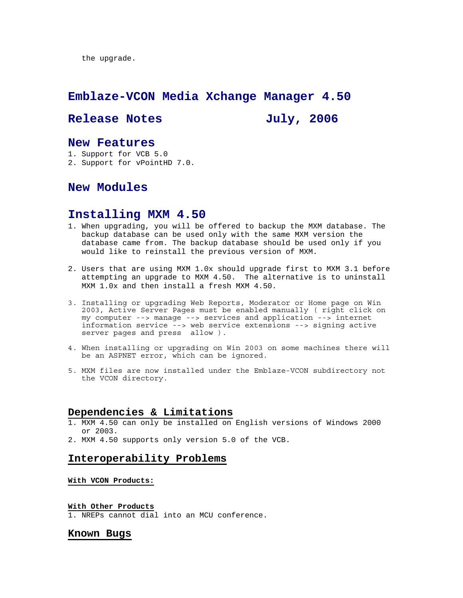the upgrade.

# **Emblaze-VCON Media Xchange Manager 4.50**

# Release Notes **July, 2006**

# **New Features**

- 1. Support for VCB 5.0
- 2. Support for vPointHD 7.0.

# **New Modules**

## **Installing MXM 4.50**

- 1. When upgrading, you will be offered to backup the MXM database. The backup database can be used only with the same MXM version the database came from. The backup database should be used only if you would like to reinstall the previous version of MXM.
- 2. Users that are using MXM 1.0x should upgrade first to MXM 3.1 before attempting an upgrade to MXM 4.50. The alternative is to uninstall MXM 1.0x and then install a fresh MXM 4.50.
- 3. Installing or upgrading Web Reports, Moderator or Home page on Win 2003, Active Server Pages must be enabled manually ( right click on my computer --> manage --> services and application --> internet information service --> web service extensions --> signing active server pages and press allow ).
- 4. When installing or upgrading on Win 2003 on some machines there will be an ASPNET error, which can be ignored.
- 5. MXM files are now installed under the Emblaze-VCON subdirectory not the VCON directory.

## **Dependencies & Limitations**

- 1. MXM 4.50 can only be installed on English versions of Windows 2000 or 2003.
- 2. MXM 4.50 supports only version 5.0 of the VCB.

## **Interoperability Problems**

### **With VCON Products:**

#### **With Other Products**

1. NREPs cannot dial into an MCU conference.

### **Known Bugs**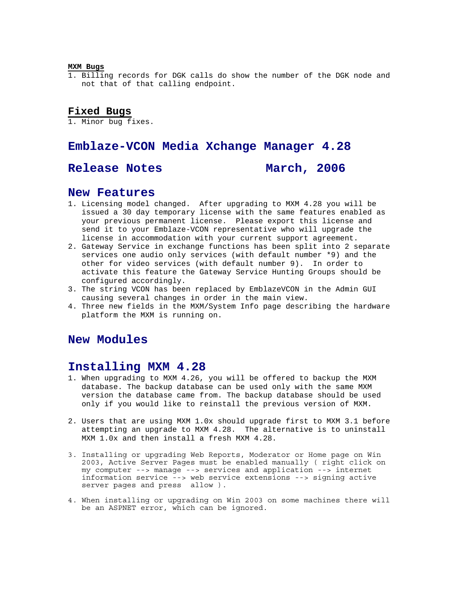#### **MXM Bugs**

1. Billing records for DGK calls do show the number of the DGK node and not that of that calling endpoint.

## **Fixed Bugs**

1. Minor bug fixes.

# **Emblaze-VCON Media Xchange Manager 4.28**

# Release Notes **March, 2006**

# **New Features**

- 1. Licensing model changed. After upgrading to MXM 4.28 you will be issued a 30 day temporary license with the same features enabled as your previous permanent license. Please export this license and send it to your Emblaze-VCON representative who will upgrade the license in accommodation with your current support agreement.
- 2. Gateway Service in exchange functions has been split into 2 separate services one audio only services (with default number \*9) and the other for video services (with default number 9). In order to activate this feature the Gateway Service Hunting Groups should be configured accordingly.
- 3. The string VCON has been replaced by EmblazeVCON in the Admin GUI causing several changes in order in the main view.
- 4. Three new fields in the MXM/System Info page describing the hardware platform the MXM is running on.

# **New Modules**

# **Installing MXM 4.28**

- 1. When upgrading to MXM 4.26, you will be offered to backup the MXM database. The backup database can be used only with the same MXM version the database came from. The backup database should be used only if you would like to reinstall the previous version of MXM.
- 2. Users that are using MXM 1.0x should upgrade first to MXM 3.1 before attempting an upgrade to MXM 4.28. The alternative is to uninstall MXM 1.0x and then install a fresh MXM 4.28.
- 3. Installing or upgrading Web Reports, Moderator or Home page on Win 2003, Active Server Pages must be enabled manually ( right click on my computer --> manage --> services and application --> internet information service --> web service extensions --> signing active server pages and press allow ).
- 4. When installing or upgrading on Win 2003 on some machines there will be an ASPNET error, which can be ignored.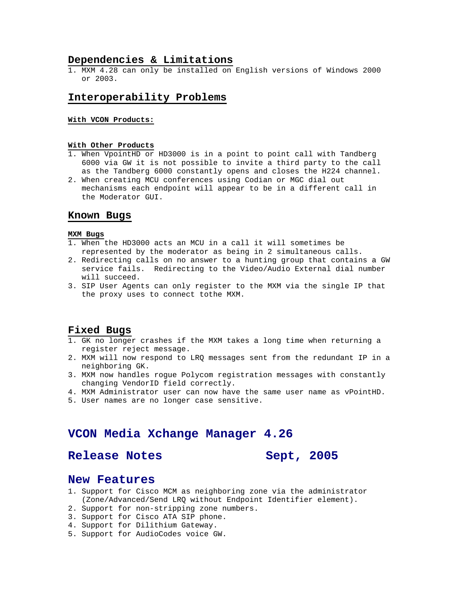## **Dependencies & Limitations**

1. MXM 4.28 can only be installed on English versions of Windows 2000 or 2003.

## **Interoperability Problems**

## **With VCON Products:**

#### **With Other Products**

- 1. When VpointHD or HD3000 is in a point to point call with Tandberg 6000 via GW it is not possible to invite a third party to the call as the Tandberg 6000 constantly opens and closes the H224 channel.
- 2. When creating MCU conferences using Codian or MGC dial out mechanisms each endpoint will appear to be in a different call in the Moderator GUI.

## **Known Bugs**

#### **MXM Bugs**

- 1. When the HD3000 acts an MCU in a call it will sometimes be represented by the moderator as being in 2 simultaneous calls.
- 2. Redirecting calls on no answer to a hunting group that contains a GW service fails. Redirecting to the Video/Audio External dial number will succeed.
- 3. SIP User Agents can only register to the MXM via the single IP that the proxy uses to connect tothe MXM.

## **Fixed Bugs**

- 1. GK no longer crashes if the MXM takes a long time when returning a register reject message.
- 2. MXM will now respond to LRQ messages sent from the redundant IP in a neighboring GK.
- 3. MXM now handles rogue Polycom registration messages with constantly changing VendorID field correctly.
- 4. MXM Administrator user can now have the same user name as vPointHD.
- 5. User names are no longer case sensitive.

# **VCON Media Xchange Manager 4.26**

# Release Notes Sept, 2005

## **New Features**

- 1. Support for Cisco MCM as neighboring zone via the administrator (Zone/Advanced/Send LRQ without Endpoint Identifier element).
- 2. Support for non-stripping zone numbers.
- 3. Support for Cisco ATA SIP phone.
- 4. Support for Dilithium Gateway.
- 5. Support for AudioCodes voice GW.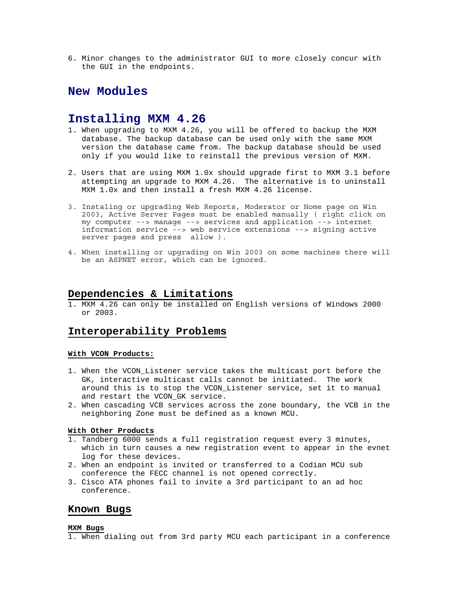6. Minor changes to the administrator GUI to more closely concur with the GUI in the endpoints.

# **New Modules**

# **Installing MXM 4.26**

- 1. When upgrading to MXM 4.26, you will be offered to backup the MXM database. The backup database can be used only with the same MXM version the database came from. The backup database should be used only if you would like to reinstall the previous version of MXM.
- 2. Users that are using MXM 1.0x should upgrade first to MXM 3.1 before attempting an upgrade to MXM 4.26. The alternative is to uninstall MXM 1.0x and then install a fresh MXM 4.26 license.
- 3. Instaling or upgrading Web Reports, Moderator or Home page on Win 2003, Active Server Pages must be enabled manually ( right click on my computer --> manage --> services and application --> internet information service --> web service extensions --> signing active server pages and press allow ).
- 4. When installing or upgrading on Win 2003 on some machines there will be an ASPNET error, which can be ignored.

# **Dependencies & Limitations**

1. MXM 4.26 can only be installed on English versions of Windows 2000 or 2003.

## **Interoperability Problems**

## **With VCON Products:**

- 1. When the VCON Listener service takes the multicast port before the GK, interactive multicast calls cannot be initiated. The work around this is to stop the VCON\_Listener service, set it to manual and restart the VCON\_GK service.
- 2. When cascading VCB services across the zone boundary, the VCB in the neighboring Zone must be defined as a known MCU.

#### **With Other Products**

- 1. Tandberg 6000 sends a full registration request every 3 minutes, which in turn causes a new registration event to appear in the evnet log for these devices.
- 2. When an endpoint is invited or transferred to a Codian MCU sub conference the FECC channel is not opened correctly.
- 3. Cisco ATA phones fail to invite a 3rd participant to an ad hoc conference.

## **Known Bugs**

#### **MXM Bugs**

1. When dialing out from 3rd party MCU each participant in a conference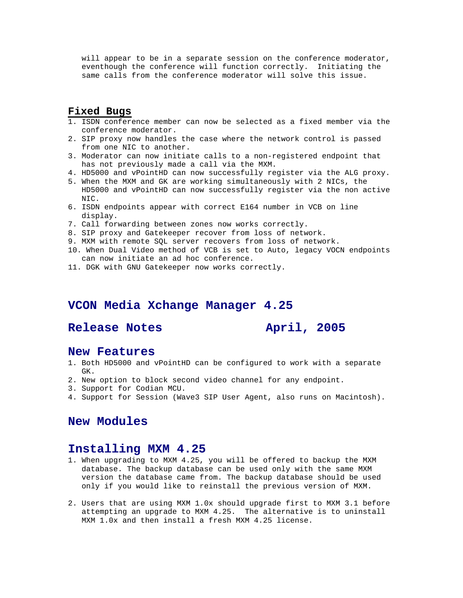will appear to be in a separate session on the conference moderator, eventhough the conference will function correctly. Initiating the same calls from the conference moderator will solve this issue.

# **Fixed Bugs**

- 1. ISDN conference member can now be selected as a fixed member via the conference moderator.
- 2. SIP proxy now handles the case where the network control is passed from one NIC to another.
- 3. Moderator can now initiate calls to a non-registered endpoint that has not previously made a call via the MXM.
- 4. HD5000 and vPointHD can now successfully register via the ALG proxy.
- 5. When the MXM and GK are working simultaneously with 2 NICs, the HD5000 and vPointHD can now successfully register via the non active NIC.
- 6. ISDN endpoints appear with correct E164 number in VCB on line display.
- 7. Call forwarding between zones now works correctly.
- 8. SIP proxy and Gatekeeper recover from loss of network.
- 9. MXM with remote SQL server recovers from loss of network.
- 10. When Dual Video method of VCB is set to Auto, legacy VOCN endpoints can now initiate an ad hoc conference.
- 11. DGK with GNU Gatekeeper now works correctly.

# **VCON Media Xchange Manager 4.25**

# **Release Notes April, 2005**

## **New Features**

- 1. Both HD5000 and vPointHD can be configured to work with a separate GK.
- 2. New option to block second video channel for any endpoint.
- 3. Support for Codian MCU.
- 4. Support for Session (Wave3 SIP User Agent, also runs on Macintosh).

# **New Modules**

# **Installing MXM 4.25**

- 1. When upgrading to MXM 4.25, you will be offered to backup the MXM database. The backup database can be used only with the same MXM version the database came from. The backup database should be used only if you would like to reinstall the previous version of MXM.
- 2. Users that are using MXM 1.0x should upgrade first to MXM 3.1 before attempting an upgrade to MXM 4.25. The alternative is to uninstall MXM 1.0x and then install a fresh MXM 4.25 license.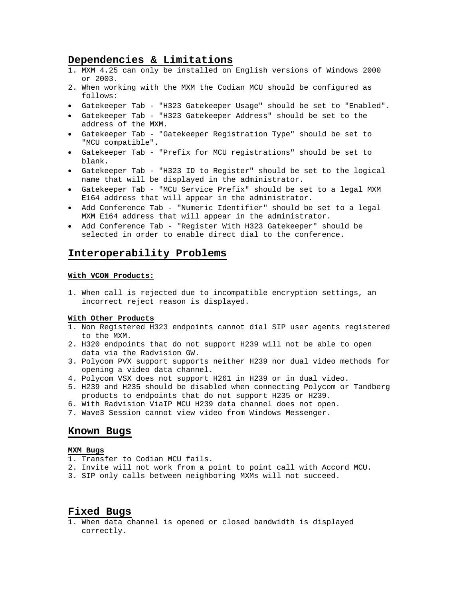## **Dependencies & Limitations**

- 1. MXM 4.25 can only be installed on English versions of Windows 2000 or 2003.
- 2. When working with the MXM the Codian MCU should be configured as follows:
- Gatekeeper Tab "H323 Gatekeeper Usage" should be set to "Enabled".
- Gatekeeper Tab "H323 Gatekeeper Address" should be set to the address of the MXM.
- Gatekeeper Tab "Gatekeeper Registration Type" should be set to "MCU compatible".
- Gatekeeper Tab "Prefix for MCU registrations" should be set to blank.
- Gatekeeper Tab "H323 ID to Register" should be set to the logical name that will be displayed in the administrator.
- Gatekeeper Tab "MCU Service Prefix" should be set to a legal MXM E164 address that will appear in the administrator.
- Add Conference Tab "Numeric Identifier" should be set to a legal MXM E164 address that will appear in the administrator.
- Add Conference Tab "Register With H323 Gatekeeper" should be selected in order to enable direct dial to the conference.

## **Interoperability Problems**

#### **With VCON Products:**

1. When call is rejected due to incompatible encryption settings, an incorrect reject reason is displayed.

#### **With Other Products**

- 1. Non Registered H323 endpoints cannot dial SIP user agents registered to the MXM.
- 2. H320 endpoints that do not support H239 will not be able to open data via the Radvision GW.
- 3. Polycom PVX support supports neither H239 nor dual video methods for opening a video data channel.
- 4. Polycom VSX does not support H261 in H239 or in dual video.
- 5. H239 and H235 should be disabled when connecting Polycom or Tandberg products to endpoints that do not support H235 or H239.
- 6. With Radvision ViaIP MCU H239 data channel does not open.
- 7. Wave3 Session cannot view video from Windows Messenger.

## **Known Bugs**

#### **MXM Bugs**

- 1. Transfer to Codian MCU fails.
- 2. Invite will not work from a point to point call with Accord MCU.
- 3. SIP only calls between neighboring MXMs will not succeed.

## **Fixed Bugs**

1. When data channel is opened or closed bandwidth is displayed correctly.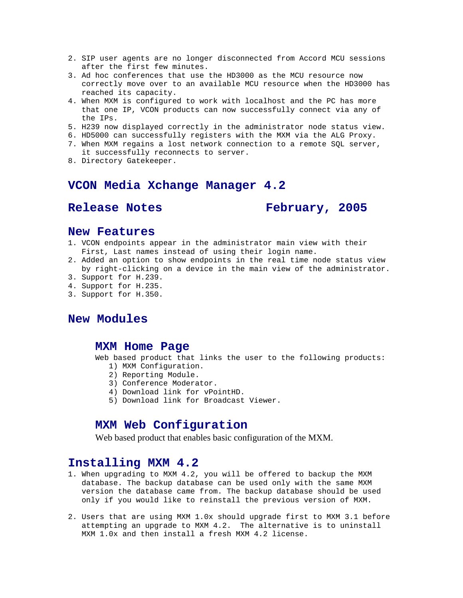- 2. SIP user agents are no longer disconnected from Accord MCU sessions after the first few minutes.
- 3. Ad hoc conferences that use the HD3000 as the MCU resource now correctly move over to an available MCU resource when the HD3000 has reached its capacity.
- 4. When MXM is configured to work with localhost and the PC has more that one IP, VCON products can now successfully connect via any of the IPs.
- 5. H239 now displayed correctly in the administrator node status view.
- 6. HD5000 can successfully registers with the MXM via the ALG Proxy.
- 7. When MXM regains a lost network connection to a remote SQL server,

it successfully reconnects to server.

8. Directory Gatekeeper.

# **VCON Media Xchange Manager 4.2**

**Release Notes February, 2005** 

# **New Features**

- 1. VCON endpoints appear in the administrator main view with their First, Last names instead of using their login name.
- 2. Added an option to show endpoints in the real time node status view by right-clicking on a device in the main view of the administrator.
- 3. Support for H.239.
- 4. Support for H.235.
- 3. Support for H.350.

# **New Modules**

## **MXM Home Page**

Web based product that links the user to the following products:

- 1) MXM Configuration.
- 2) Reporting Module.
- 3) Conference Moderator.
- 4) Download link for vPointHD.
- 5) Download link for Broadcast Viewer.

# **MXM Web Configuration**

Web based product that enables basic configuration of the MXM.

# **Installing MXM 4.2**

- 1. When upgrading to MXM 4.2, you will be offered to backup the MXM database. The backup database can be used only with the same MXM version the database came from. The backup database should be used only if you would like to reinstall the previous version of MXM.
- 2. Users that are using MXM 1.0x should upgrade first to MXM 3.1 before attempting an upgrade to MXM 4.2. The alternative is to uninstall MXM 1.0x and then install a fresh MXM 4.2 license.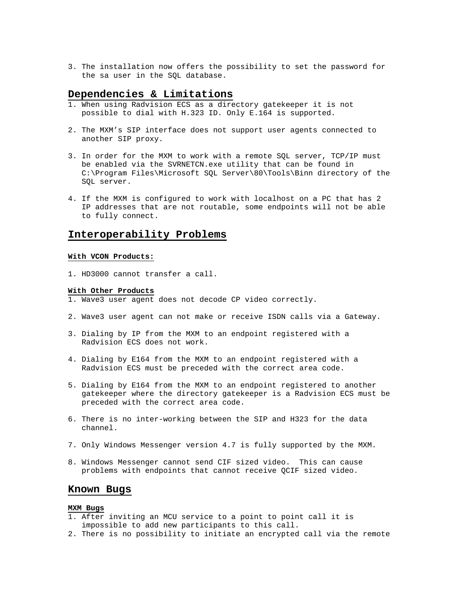3. The installation now offers the possibility to set the password for the sa user in the SQL database.

## **Dependencies & Limitations**

- 1. When using Radvision ECS as a directory gatekeeper it is not possible to dial with H.323 ID. Only E.164 is supported.
- 2. The MXM's SIP interface does not support user agents connected to another SIP proxy.
- 3. In order for the MXM to work with a remote SQL server, TCP/IP must be enabled via the SVRNETCN.exe utility that can be found in C:\Program Files\Microsoft SQL Server\80\Tools\Binn directory of the SQL server.
- 4. If the MXM is configured to work with localhost on a PC that has 2 IP addresses that are not routable, some endpoints will not be able to fully connect.

## **Interoperability Problems**

#### **With VCON Products:**

1. HD3000 cannot transfer a call.

#### **With Other Products**

- 1. Wave3 user agent does not decode CP video correctly.
- 2. Wave3 user agent can not make or receive ISDN calls via a Gateway.
- 3. Dialing by IP from the MXM to an endpoint registered with a Radvision ECS does not work.
- 4. Dialing by E164 from the MXM to an endpoint registered with a Radvision ECS must be preceded with the correct area code.
- 5. Dialing by E164 from the MXM to an endpoint registered to another gatekeeper where the directory gatekeeper is a Radvision ECS must be preceded with the correct area code.
- 6. There is no inter-working between the SIP and H323 for the data channel.
- 7. Only Windows Messenger version 4.7 is fully supported by the MXM.
- 8. Windows Messenger cannot send CIF sized video. This can cause problems with endpoints that cannot receive QCIF sized video.

## **Known Bugs**

### **MXM Bugs**

- 1. After inviting an MCU service to a point to point call it is impossible to add new participants to this call.
- 2. There is no possibility to initiate an encrypted call via the remote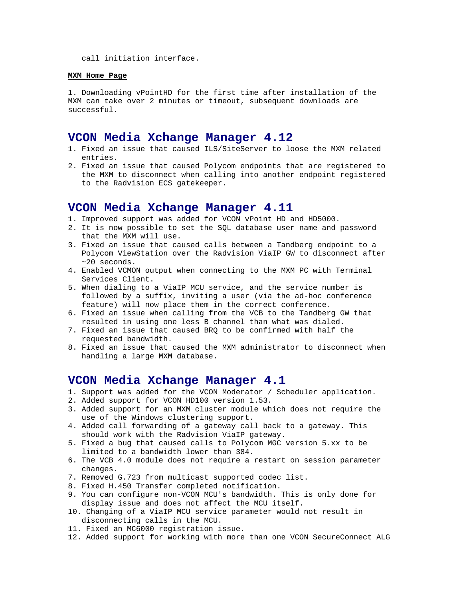call initiation interface.

#### **MXM Home Page**

1. Downloading vPointHD for the first time after installation of the MXM can take over 2 minutes or timeout, subsequent downloads are successful.

## **VCON Media Xchange Manager 4.12**

- 1. Fixed an issue that caused ILS/SiteServer to loose the MXM related entries.
- 2. Fixed an issue that caused Polycom endpoints that are registered to the MXM to disconnect when calling into another endpoint registered to the Radvision ECS gatekeeper.

## **VCON Media Xchange Manager 4.11**

- 1. Improved support was added for VCON vPoint HD and HD5000.
- 2. It is now possible to set the SQL database user name and password that the MXM will use.
- 3. Fixed an issue that caused calls between a Tandberg endpoint to a Polycom ViewStation over the Radvision ViaIP GW to disconnect after ~20 seconds.
- 4. Enabled VCMON output when connecting to the MXM PC with Terminal Services Client.
- 5. When dialing to a ViaIP MCU service, and the service number is followed by a suffix, inviting a user (via the ad-hoc conference feature) will now place them in the correct conference.
- 6. Fixed an issue when calling from the VCB to the Tandberg GW that resulted in using one less B channel than what was dialed.
- 7. Fixed an issue that caused BRQ to be confirmed with half the requested bandwidth.
- 8. Fixed an issue that caused the MXM administrator to disconnect when handling a large MXM database.

## **VCON Media Xchange Manager 4.1**

- 1. Support was added for the VCON Moderator / Scheduler application.
- 2. Added support for VCON HD100 version 1.53.
- 3. Added support for an MXM cluster module which does not require the use of the Windows clustering support.
- 4. Added call forwarding of a gateway call back to a gateway. This should work with the Radvision ViaIP gateway.
- 5. Fixed a bug that caused calls to Polycom MGC version 5.xx to be limited to a bandwidth lower than 384.
- 6. The VCB 4.0 module does not require a restart on session parameter changes.
- 7. Removed G.723 from multicast supported codec list.
- 8. Fixed H.450 Transfer completed notification.
- 9. You can configure non-VCON MCU's bandwidth. This is only done for display issue and does not affect the MCU itself.
- 10. Changing of a ViaIP MCU service parameter would not result in disconnecting calls in the MCU.
- 11. Fixed an MC6000 registration issue.
- 12. Added support for working with more than one VCON SecureConnect ALG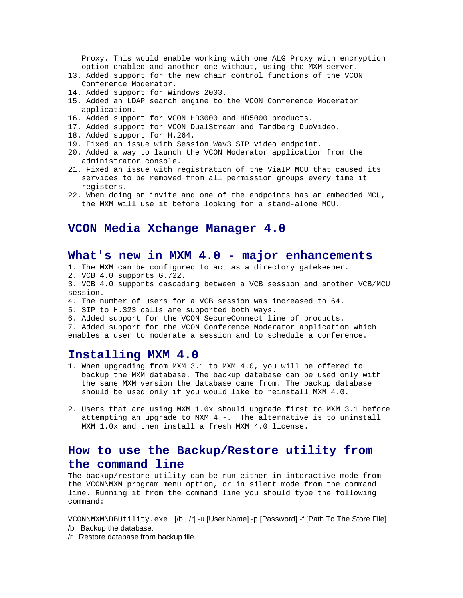Proxy. This would enable working with one ALG Proxy with encryption option enabled and another one without, using the MXM server.

- 13. Added support for the new chair control functions of the VCON Conference Moderator.
- 14. Added support for Windows 2003.
- 15. Added an LDAP search engine to the VCON Conference Moderator application.
- 16. Added support for VCON HD3000 and HD5000 products.
- 17. Added support for VCON DualStream and Tandberg DuoVideo.
- 18. Added support for H.264.
- 19. Fixed an issue with Session Wav3 SIP video endpoint.
- 20. Added a way to launch the VCON Moderator application from the administrator console.
- 21. Fixed an issue with registration of the ViaIP MCU that caused its services to be removed from all permission groups every time it registers.
- 22. When doing an invite and one of the endpoints has an embedded MCU, the MXM will use it before looking for a stand-alone MCU.

# **VCON Media Xchange Manager 4.0**

# **What's new in MXM 4.0 - major enhancements**

- 1. The MXM can be configured to act as a directory gatekeeper.
- 2. VCB 4.0 supports G.722.

3. VCB 4.0 supports cascading between a VCB session and another VCB/MCU session.

- 4. The number of users for a VCB session was increased to 64.
- 5. SIP to H.323 calls are supported both ways.
- 6. Added support for the VCON SecureConnect line of products.

7. Added support for the VCON Conference Moderator application which enables a user to moderate a session and to schedule a conference.

## **Installing MXM 4.0**

- 1. When upgrading from MXM 3.1 to MXM 4.0, you will be offered to backup the MXM database. The backup database can be used only with the same MXM version the database came from. The backup database should be used only if you would like to reinstall MXM 4.0.
- 2. Users that are using MXM 1.0x should upgrade first to MXM 3.1 before attempting an upgrade to MXM 4.-. The alternative is to uninstall MXM 1.0x and then install a fresh MXM 4.0 license.

# **How to use the Backup/Restore utility from the command line**

The backup/restore utility can be run either in interactive mode from the VCON\MXM program menu option, or in silent mode from the command line. Running it from the command line you should type the following command:

VCON\MXM\DBUtility.exe [/b | /r] -u [User Name] -p [Password] -f [Path To The Store File] /b Backup the database.

/r Restore database from backup file.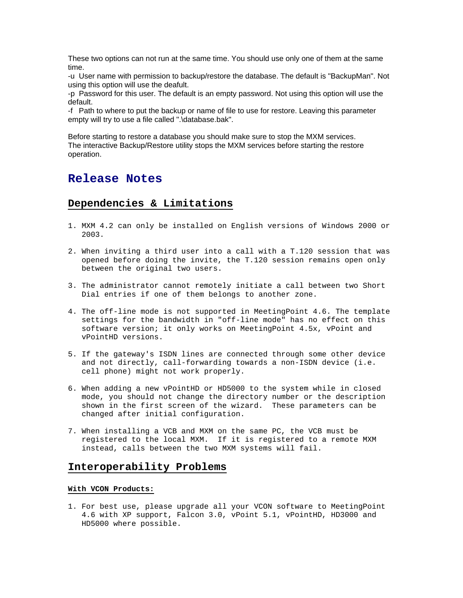These two options can not run at the same time. You should use only one of them at the same time.

-u User name with permission to backup/restore the database. The default is "BackupMan". Not using this option will use the deafult.

-p Password for this user. The default is an empty password. Not using this option will use the default.

-f Path to where to put the backup or name of file to use for restore. Leaving this parameter empty will try to use a file called ".\database.bak".

Before starting to restore a database you should make sure to stop the MXM services. The interactive Backup/Restore utility stops the MXM services before starting the restore operation.

# **Release Notes**

# **Dependencies & Limitations**

- 1. MXM 4.2 can only be installed on English versions of Windows 2000 or 2003.
- 2. When inviting a third user into a call with a T.120 session that was opened before doing the invite, the T.120 session remains open only between the original two users.
- 3. The administrator cannot remotely initiate a call between two Short Dial entries if one of them belongs to another zone.
- 4. The off-line mode is not supported in MeetingPoint 4.6. The template settings for the bandwidth in "off-line mode" has no effect on this software version; it only works on MeetingPoint 4.5x, vPoint and vPointHD versions.
- 5. If the gateway's ISDN lines are connected through some other device and not directly, call-forwarding towards a non-ISDN device (i.e. cell phone) might not work properly.
- 6. When adding a new vPointHD or HD5000 to the system while in closed mode, you should not change the directory number or the description shown in the first screen of the wizard. These parameters can be changed after initial configuration.
- 7. When installing a VCB and MXM on the same PC, the VCB must be registered to the local MXM. If it is registered to a remote MXM instead, calls between the two MXM systems will fail.

## **Interoperability Problems**

### **With VCON Products:**

1. For best use, please upgrade all your VCON software to MeetingPoint 4.6 with XP support, Falcon 3.0, vPoint 5.1, vPointHD, HD3000 and HD5000 where possible.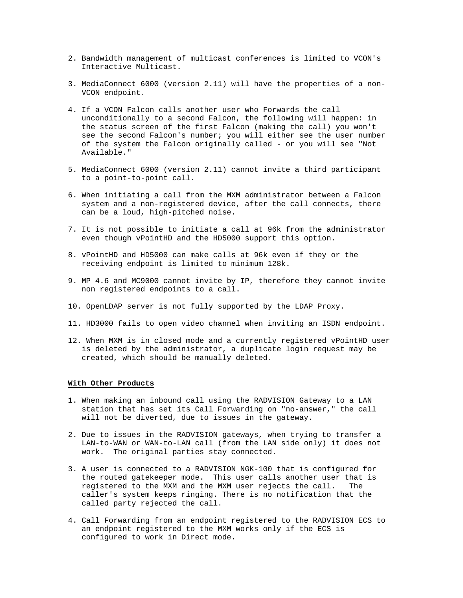- 2. Bandwidth management of multicast conferences is limited to VCON's Interactive Multicast.
- 3. MediaConnect 6000 (version 2.11) will have the properties of a non-VCON endpoint.
- 4. If a VCON Falcon calls another user who Forwards the call unconditionally to a second Falcon, the following will happen: in the status screen of the first Falcon (making the call) you won't see the second Falcon's number; you will either see the user number of the system the Falcon originally called - or you will see "Not Available."
- 5. MediaConnect 6000 (version 2.11) cannot invite a third participant to a point-to-point call.
- 6. When initiating a call from the MXM administrator between a Falcon system and a non-registered device, after the call connects, there can be a loud, high-pitched noise.
- 7. It is not possible to initiate a call at 96k from the administrator even though vPointHD and the HD5000 support this option.
- 8. vPointHD and HD5000 can make calls at 96k even if they or the receiving endpoint is limited to minimum 128k.
- 9. MP 4.6 and MC9000 cannot invite by IP, therefore they cannot invite non registered endpoints to a call.
- 10. OpenLDAP server is not fully supported by the LDAP Proxy.
- 11. HD3000 fails to open video channel when inviting an ISDN endpoint.
- 12. When MXM is in closed mode and a currently registered vPointHD user is deleted by the administrator, a duplicate login request may be created, which should be manually deleted.

#### **With Other Products**

- 1. When making an inbound call using the RADVISION Gateway to a LAN station that has set its Call Forwarding on "no-answer," the call will not be diverted, due to issues in the gateway.
- 2. Due to issues in the RADVISION gateways, when trying to transfer a LAN-to-WAN or WAN-to-LAN call (from the LAN side only) it does not work. The original parties stay connected.
- 3. A user is connected to a RADVISION NGK-100 that is configured for the routed gatekeeper mode. This user calls another user that is registered to the MXM and the MXM user rejects the call. The caller's system keeps ringing. There is no notification that the called party rejected the call.
- 4. Call Forwarding from an endpoint registered to the RADVISION ECS to an endpoint registered to the MXM works only if the ECS is configured to work in Direct mode.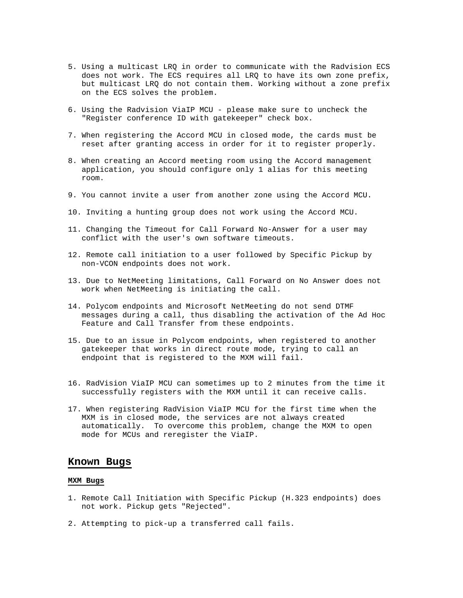- 5. Using a multicast LRQ in order to communicate with the Radvision ECS does not work. The ECS requires all LRQ to have its own zone prefix, but multicast LRQ do not contain them. Working without a zone prefix on the ECS solves the problem.
- 6. Using the Radvision ViaIP MCU please make sure to uncheck the "Register conference ID with gatekeeper" check box.
- 7. When registering the Accord MCU in closed mode, the cards must be reset after granting access in order for it to register properly.
- 8. When creating an Accord meeting room using the Accord management application, you should configure only 1 alias for this meeting room.
- 9. You cannot invite a user from another zone using the Accord MCU.
- 10. Inviting a hunting group does not work using the Accord MCU.
- 11. Changing the Timeout for Call Forward No-Answer for a user may conflict with the user's own software timeouts.
- 12. Remote call initiation to a user followed by Specific Pickup by non-VCON endpoints does not work.
- 13. Due to NetMeeting limitations, Call Forward on No Answer does not work when NetMeeting is initiating the call.
- 14. Polycom endpoints and Microsoft NetMeeting do not send DTMF messages during a call, thus disabling the activation of the Ad Hoc Feature and Call Transfer from these endpoints.
- 15. Due to an issue in Polycom endpoints, when registered to another gatekeeper that works in direct route mode, trying to call an endpoint that is registered to the MXM will fail.
- 16. RadVision ViaIP MCU can sometimes up to 2 minutes from the time it successfully registers with the MXM until it can receive calls.
- 17. When registering RadVision ViaIP MCU for the first time when the MXM is in closed mode, the services are not always created automatically. To overcome this problem, change the MXM to open mode for MCUs and reregister the ViaIP.

### **Known Bugs**

## **MXM Bugs**

- 1. Remote Call Initiation with Specific Pickup (H.323 endpoints) does not work. Pickup gets "Rejected".
- 2. Attempting to pick-up a transferred call fails.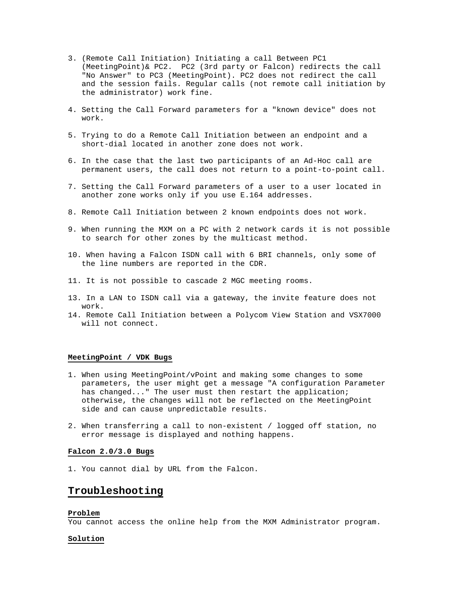- 3. (Remote Call Initiation) Initiating a call Between PC1 (MeetingPoint)& PC2. PC2 (3rd party or Falcon) redirects the call "No Answer" to PC3 (MeetingPoint). PC2 does not redirect the call and the session fails. Regular calls (not remote call initiation by the administrator) work fine.
- 4. Setting the Call Forward parameters for a "known device" does not work.
- 5. Trying to do a Remote Call Initiation between an endpoint and a short-dial located in another zone does not work.
- 6. In the case that the last two participants of an Ad-Hoc call are permanent users, the call does not return to a point-to-point call.
- 7. Setting the Call Forward parameters of a user to a user located in another zone works only if you use E.164 addresses.
- 8. Remote Call Initiation between 2 known endpoints does not work.
- 9. When running the MXM on a PC with 2 network cards it is not possible to search for other zones by the multicast method.
- 10. When having a Falcon ISDN call with 6 BRI channels, only some of the line numbers are reported in the CDR.
- 11. It is not possible to cascade 2 MGC meeting rooms.
- 13. In a LAN to ISDN call via a gateway, the invite feature does not work.
- 14. Remote Call Initiation between a Polycom View Station and VSX7000 will not connect.

### **MeetingPoint / VDK Bugs**

- 1. When using MeetingPoint/vPoint and making some changes to some parameters, the user might get a message "A configuration Parameter has changed..." The user must then restart the application; otherwise, the changes will not be reflected on the MeetingPoint side and can cause unpredictable results.
- 2. When transferring a call to non-existent / logged off station, no error message is displayed and nothing happens.

#### **Falcon 2.0/3.0 Bugs**

1. You cannot dial by URL from the Falcon.

## **Troubleshooting**

#### **Problem**

You cannot access the online help from the MXM Administrator program.

#### **Solution**